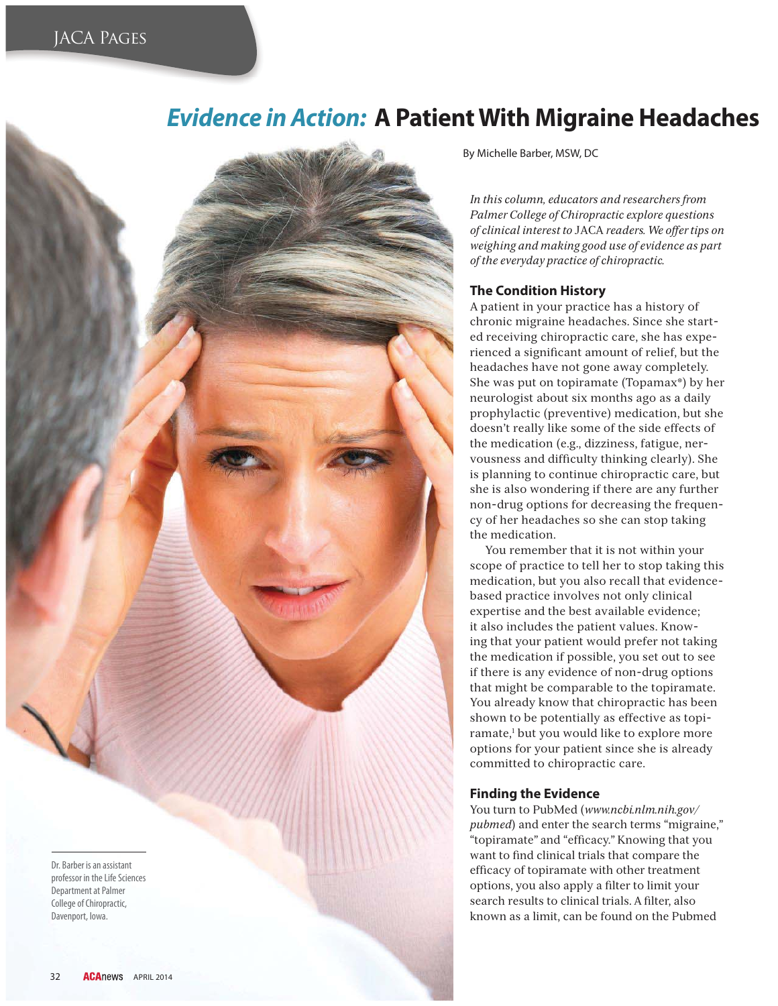# *Evidence in Action:* **A Patient With Migraine Headaches**

Dr. Barber is an assistant professor in the Life Sciences Department at Palmer College of Chiropractic, Davenport, Iowa.

By Michelle Barber, MSW, DC

*In this column, educators and researchers from Palmer College of Chiropractic explore questions of clinical interest to* JACA *readers. We offer tips on weighing and making good use of evidence as part of the everyday practice of chiropractic.* 

## **The Condition History**

A patient in your practice has a history of chronic migraine headaches. Since she started receiving chiropractic care, she has experienced a significant amount of relief, but the headaches have not gone away completely. She was put on topiramate (Topamax®) by her neurologist about six months ago as a daily prophylactic (preventive) medication, but she doesn't really like some of the side effects of the medication (e.g., dizziness, fatigue, nervousness and difficulty thinking clearly). She is planning to continue chiropractic care, but she is also wondering if there are any further non-drug options for decreasing the frequency of her headaches so she can stop taking the medication.

You remember that it is not within your scope of practice to tell her to stop taking this medication, but you also recall that evidencebased practice involves not only clinical expertise and the best available evidence; it also includes the patient values. Knowing that your patient would prefer not taking the medication if possible, you set out to see if there is any evidence of non-drug options that might be comparable to the topiramate. You already know that chiropractic has been shown to be potentially as effective as topiramate,<sup>1</sup> but you would like to explore more options for your patient since she is already committed to chiropractic care.

## **Finding the Evidence**

You turn to PubMed (*www.ncbi.nlm.nih.gov/ pubmed*) and enter the search terms "migraine," "topiramate" and "efficacy." Knowing that you want to find clinical trials that compare the efficacy of topiramate with other treatment options, you also apply a filter to limit your search results to clinical trials. A filter, also known as a limit, can be found on the Pubmed